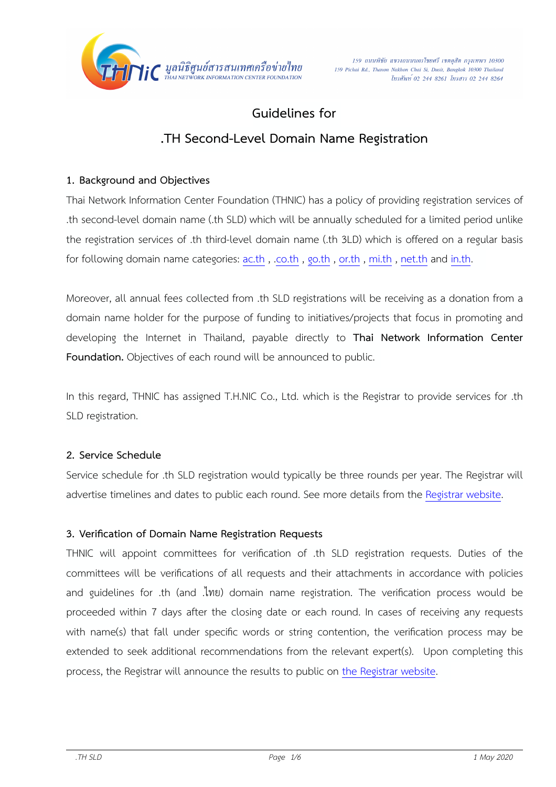

# **Guidelines for**

# **.TH Second-Level Domain Name Registration**

## **1. Background and Objectives**

Thai Network Information Center Foundation (THNIC) has a policy of providing registration services of .th second-level domain name (.th SLD) which will be annually scheduled for a limited period unlike the registration services of .th third-level domain name (.th 3LD) which is offered on a regular basis for following domain name categories:  $\text{ac.th}$ ,  $\text{co.th}$ ,  $\text{go.th}$ ,  $\text{or.th}$  $\text{or.th}$  $\text{or.th}$ ,  $\text{mi.th}$  $\text{mi.th}$  $\text{mi.th}$ ,  $\text{net.th}$  $\text{net.th}$  $\text{net.th}$  and  $\text{in.th}$ .

Moreover, all annual fees collected from .th SLD registrations will be receiving as a donation from a domain name holder for the purpose of funding to initiatives/projects that focus in promoting and developing the Internet in Thailand, payable directly to **Thai Network Information Center Foundation.** Objectives of each round will be announced to public.

In this regard, THNIC has assigned T.H.NIC Co., Ltd. which is the Registrar to provide services for .th SLD registration.

## **2. Service Schedule**

Service schedule for .th SLD registration would typically be three rounds per year. The Registrar will advertise timelines and dates to public each round. See more details from the [Registrar website](https://www.thnic.co.th/sld).

## **3. Verification of Domain Name Registration Requests**

THNIC will appoint committees for verification of .th SLD registration requests. Duties of the committees will be verifications of all requests and their attachments in accordance with policies and guidelines for .th (and .ไทย) domain name registration. The verification process would be proceeded within 7 days after the closing date or each round. In cases of receiving any requests with name(s) that fall under specific words or string contention, the verification process may be extended to seek additional recommendations from the relevant expert(s). Upon completing this process, the Registrar will announce the results to public on [the Registrar website](https://www.thnic.co.th/sld).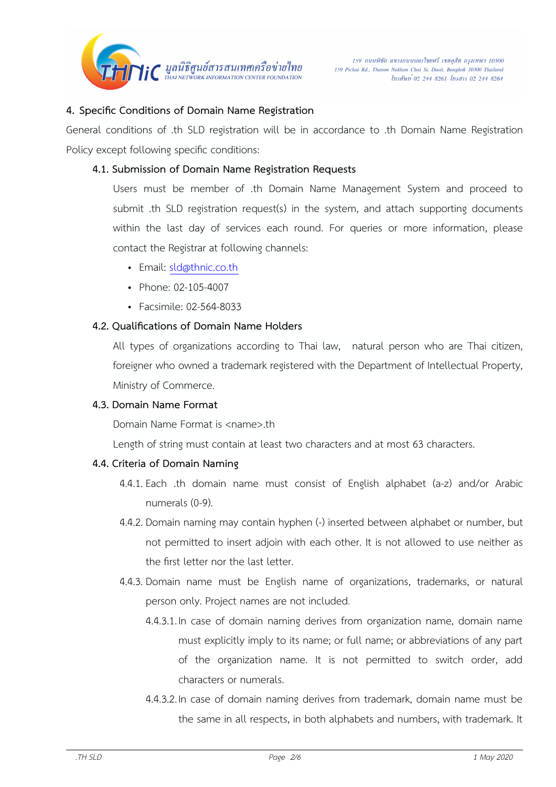

### **4. Specific Conditions of Domain Name Registration**

General conditions of .th SLD registration will be in accordance to .th Domain Name Registration Policy except following specific conditions:

#### **4.1. Submission of Domain Name Registration Requests**

Users must be member of .th Domain Name Management System and proceed to submit .th SLD registration request(s) in the system, and attach supporting documents within the last day of services each round. For queries or more information, please contact the Registrar at following channels:

- Email: [sld@thnic.co.th](mailto:sld@thnic.co.th)
- Phone: 02-105-4007
- Facsimile: 02-564-8033

#### **4.2. Qualifications of Domain Name Holders**

All types of organizations according to Thai law, natural person who are Thai citizen, foreigner who owned a trademark registered with the Department of Intellectual Property, Ministry of Commerce.

#### **4.3. Domain Name Format**

Domain Name Format is <name>.th

Length of string must contain at least two characters and at most 63 characters.

#### **4.4. Criteria of Domain Naming**

- 4.4.1. Each .th domain name must consist of English alphabet (a-z) and/or Arabic numerals (0-9).
- 4.4.2. Domain naming may contain hyphen (-) inserted between alphabet or number, but not permitted to insert adjoin with each other. It is not allowed to use neither as the first letter nor the last letter.
- 4.4.3. Domain name must be English name of organizations, trademarks, or natural person only. Project names are not included.
	- 4.4.3.1. In case of domain naming derives from organization name, domain name must explicitly imply to its name; or full name; or abbreviations of any part of the organization name. It is not permitted to switch order, add characters or numerals.
	- 4.4.3.2. In case of domain naming derives from trademark, domain name must be the same in all respects, in both alphabets and numbers, with trademark. It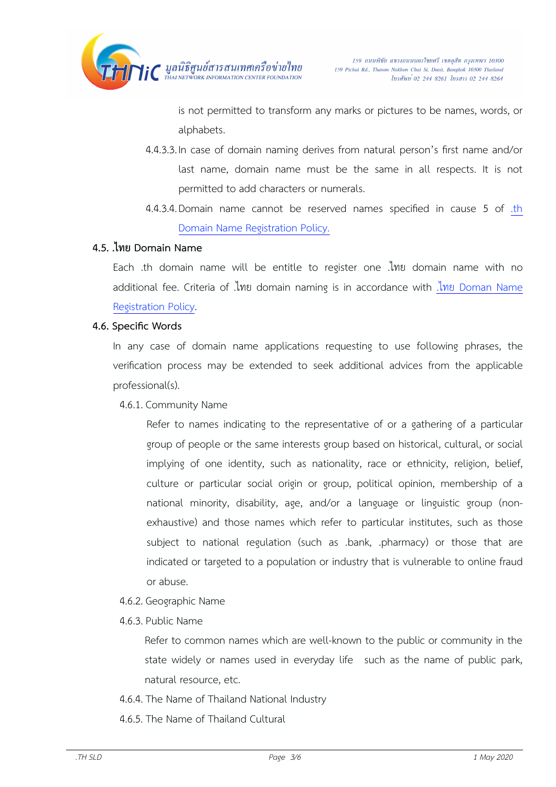

is not permitted to transform any marks or pictures to be names, words, or alphabets.

- 4.4.3.3. In case of domain naming derives from natural person's first name and/or last name, domain name must be the same in all respects. It is not permitted to add characters or numerals.
- 4.4.3.4. Domain name cannot be reserved names specified in cause 5 of .th [Domain Name Registration Policy.](https://www.thnic.or.th/wp-content/uploads/2020/05/thPolicy-Final-May2563-EN.pdf)

### **4.5. .ไทย Domain Name**

Each .th domain name will be entitle to register one .ไทย domain name with no additional fee. Criteria of .ไทย domain naming is in accordance with .ไทย [Doman Name](https://www.thnic.or.th/wp-content/uploads/2020/05/thPolicy-Final-May2563-EN.pdf)  [Registration Policy](https://www.thnic.or.th/wp-content/uploads/2020/05/thPolicy-Final-May2563-EN.pdf).

#### **4.6. Specific Words**

In any case of domain name applications requesting to use following phrases, the verification process may be extended to seek additional advices from the applicable professional(s).

4.6.1. Community Name

Refer to names indicating to the representative of or a gathering of a particular group of people or the same interests group based on historical, cultural, or social implying of one identity, such as nationality, race or ethnicity, religion, belief, culture or particular social origin or group, political opinion, membership of a national minority, disability, age, and/or a language or linguistic group (nonexhaustive) and those names which refer to particular institutes, such as those subject to national regulation (such as .bank, .pharmacy) or those that are indicated or targeted to a population or industry that is vulnerable to online fraud or abuse.

- 4.6.2. Geographic Name
- 4.6.3.Public Name

Refer to common names which are well-known to the public or community in the state widely or names used in everyday life such as the name of public park, natural resource, etc.

- 4.6.4.The Name of Thailand National Industry
- 4.6.5.The Name of Thailand Cultural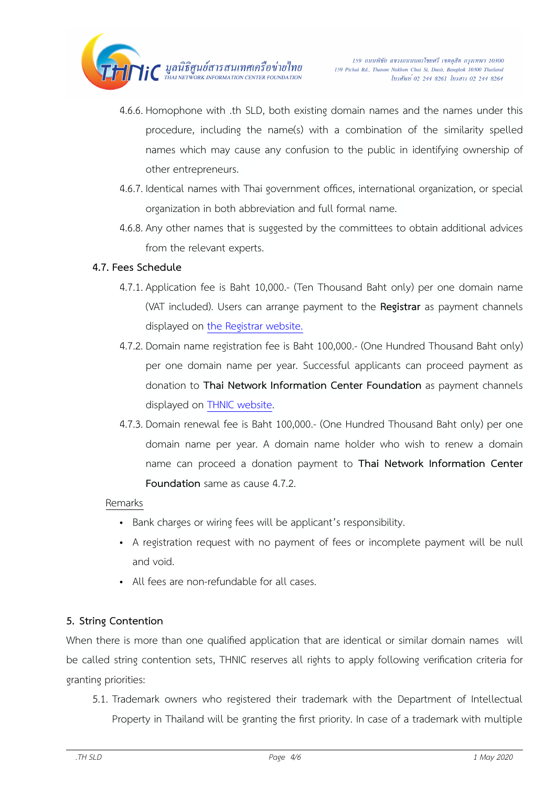

- 4.6.6. Homophone with .th SLD, both existing domain names and the names under this procedure, including the name(s) with a combination of the similarity spelled names which may cause any confusion to the public in identifying ownership of other entrepreneurs.
- 4.6.7. Identical names with Thai government offices, international organization, or special organization in both abbreviation and full formal name.
- 4.6.8. Any other names that is suggested by the committees to obtain additional advices from the relevant experts.

## **4.7. Fees Schedule**

- 4.7.1. Application fee is Baht 10,000.- (Ten Thousand Baht only) per one domain name (VAT included). Users can arrange payment to the **Registrar** as payment channels displayed on [the Registrar website.](https://www.thnic.co.th/en/payment/)
- 4.7.2. Domain name registration fee is Baht 100,000.- (One Hundred Thousand Baht only) per one domain name per year. Successful applicants can proceed payment as donation to **Thai Network Information Center Foundation** as payment channels displayed on [THNIC website](https://www.thnic.or.th/en/donation-en).
- 4.7.3. Domain renewal fee is Baht 100,000.- (One Hundred Thousand Baht only) per one domain name per year. A domain name holder who wish to renew a domain name can proceed a donation payment to **Thai Network Information Center Foundation** same as cause 4.7.2.

## Remarks

- Bank charges or wiring fees will be applicant's responsibility.
- A registration request with no payment of fees or incomplete payment will be null and void.
- All fees are non-refundable for all cases.

## **5. String Contention**

When there is more than one qualified application that are identical or similar domain names will be called string contention sets, THNIC reserves all rights to apply following verification criteria for granting priorities:

5.1. Trademark owners who registered their trademark with the Department of Intellectual Property in Thailand will be granting the first priority. In case of a trademark with multiple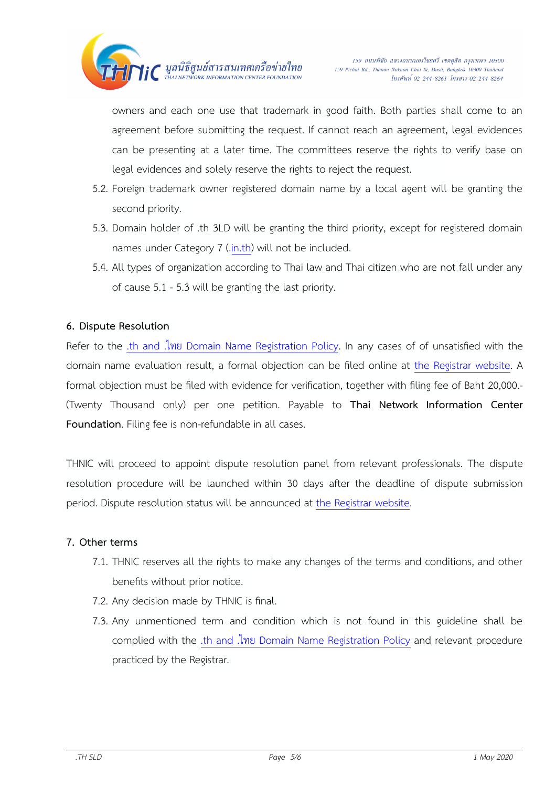

owners and each one use that trademark in good faith. Both parties shall come to an agreement before submitting the request. If cannot reach an agreement, legal evidences can be presenting at a later time. The committees reserve the rights to verify base on legal evidences and solely reserve the rights to reject the request.

- 5.2. Foreign trademark owner registered domain name by a local agent will be granting the second priority.
- 5.3. Domain holder of .th 3LD will be granting the third priority, except for registered domain names under Category 7 (.[in.th\)](http://in.th) will not be included.
- 5.4. All types of organization according to Thai law and Thai citizen who are not fall under any of cause 5.1 - 5.3 will be granting the last priority.

## **6. Dispute Resolution**

Refer to the .th and .ไทย [Domain Name Registration Policy](https://www.thnic.or.th/wp-content/uploads/2020/05/thPolicy-Final-May2563-EN.pdf). In any cases of of unsatisfied with the domain name evaluation result, a formal objection can be filed online at [the Registrar website](https://www.thnic.co.th/sld). A formal objection must be filed with evidence for verification, together with filing fee of Baht 20,000.- (Twenty Thousand only) per one petition. Payable to **Thai Network Information Center Foundation**. Filing fee is non-refundable in all cases.

THNIC will proceed to appoint dispute resolution panel from relevant professionals. The dispute resolution procedure will be launched within 30 days after the deadline of dispute submission period. Dispute resolution status will be announced at [the Registrar website](https://www.thnic.co.th/sld).

#### **7. Other terms**

- 7.1. THNIC reserves all the rights to make any changes of the terms and conditions, and other benefits without prior notice.
- 7.2. Any decision made by THNIC is final.
- 7.3. Any unmentioned term and condition which is not found in this guideline shall be complied with the .th and .ไทย [Domain Name Registration Policy](https://www.thnic.or.th/wp-content/uploads/2020/05/thPolicy-Final-May2563-EN.pdf) and relevant procedure practiced by the Registrar.